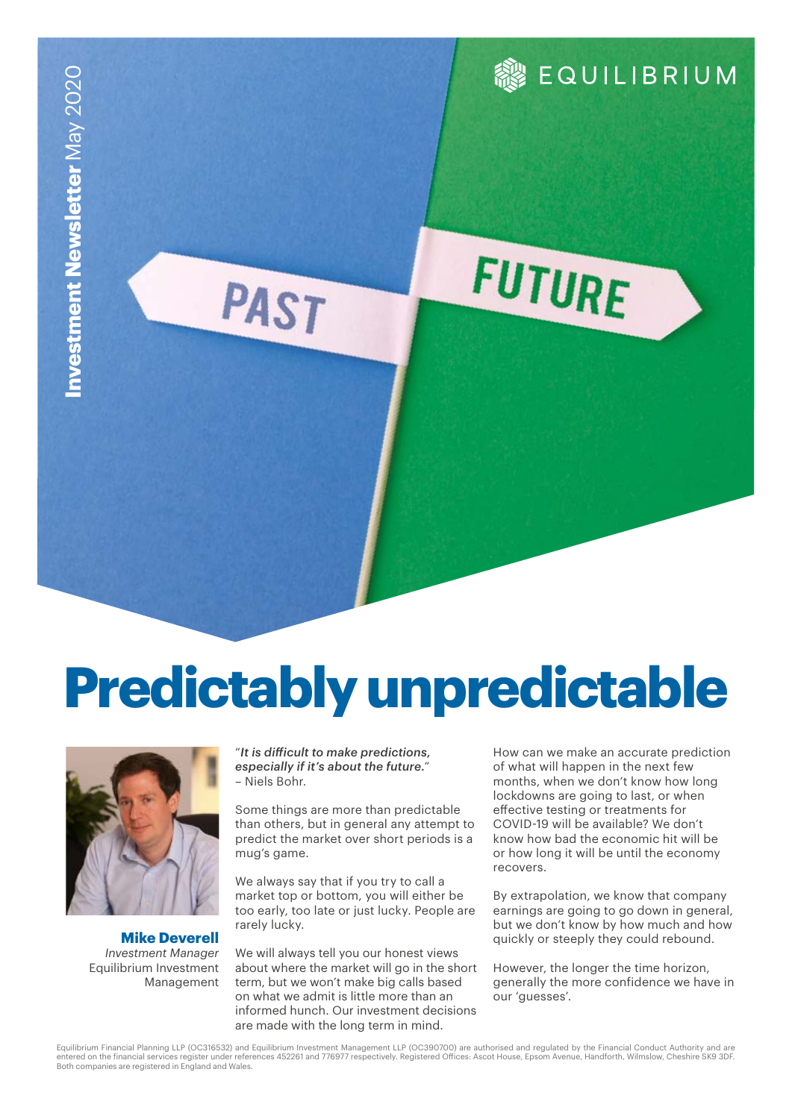# **Predictably unpredictable**



**Mike Deverell** *Investment Manager* Equilibrium Investment Management

"*It is difficult to make predictions, especially if it's about the future.*" – Niels Bohr.

PAST

Some things are more than predictable than others, but in general any attempt to predict the market over short periods is a mug's game.

We always say that if you try to call a market top or bottom, you will either be too early, too late or just lucky. People are rarely lucky.

We will always tell you our honest views about where the market will go in the short term, but we won't make big calls based on what we admit is little more than an informed hunch. Our investment decisions are made with the long term in mind.

How can we make an accurate prediction of what will happen in the next few months, when we don't know how long lockdowns are going to last, or when effective testing or treatments for COVID-19 will be available? We don't know how bad the economic hit will be or how long it will be until the economy recovers.

**&** EQUILIBRIUM

FUTURE

By extrapolation, we know that company earnings are going to go down in general, but we don't know by how much and how quickly or steeply they could rebound.

However, the longer the time horizon, generally the more confidence we have in our 'guesses'.

Equilibrium Financial Planning LLP (OC316532) and Equilibrium Investment Management LLP (OC390700) are authorised and regulated by the Financial Conduct Authority and are entered on the financial services register under references 452261 and 776977 respectively. Registered Offices: Ascot House, Epsom Avenue, Handforth, Wilmslow, Cheshire SK9 3DF.<br>Both companies are registered in England and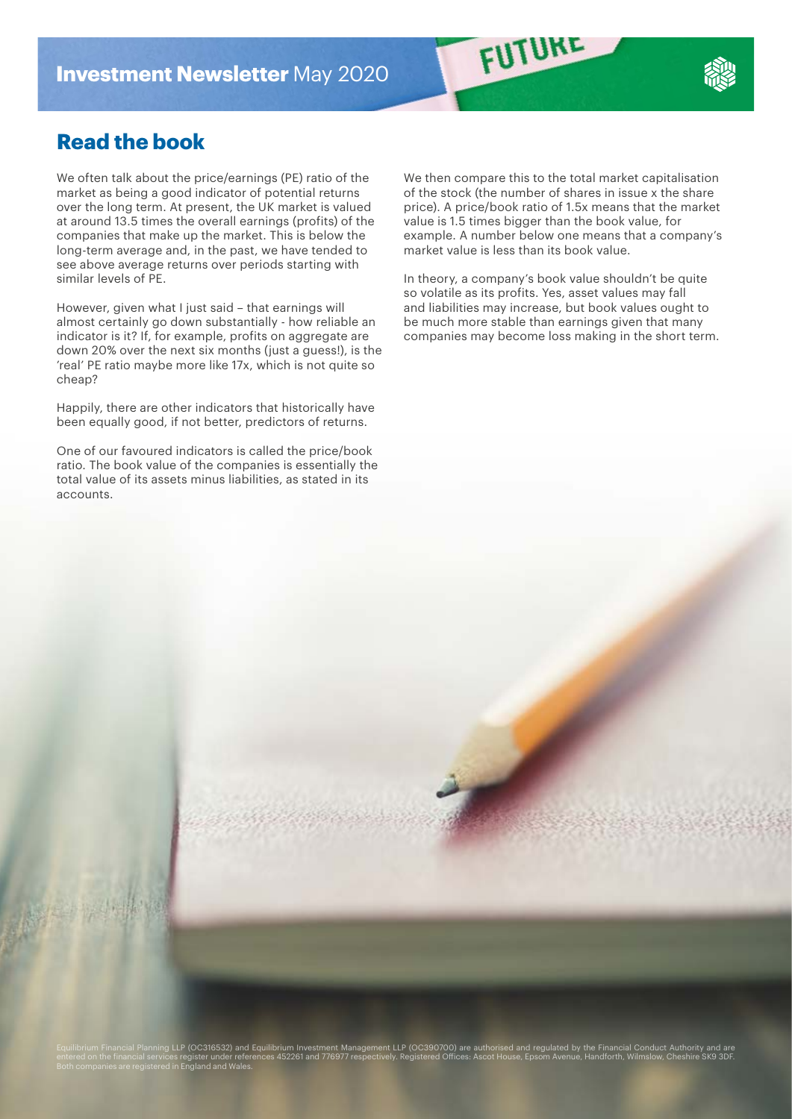## **Read the book**

We often talk about the price/earnings (PE) ratio of the market as being a good indicator of potential returns over the long term. At present, the UK market is valued at around 13.5 times the overall earnings (profits) of the companies that make up the market. This is below the long-term average and, in the past, we have tended to see above average returns over periods starting with similar levels of PE.

However, given what I just said – that earnings will almost certainly go down substantially - how reliable an indicator is it? If, for example, profits on aggregate are down 20% over the next six months (just a guess!), is the 'real' PE ratio maybe more like 17x, which is not quite so cheap?

Happily, there are other indicators that historically have been equally good, if not better, predictors of returns.

One of our favoured indicators is called the price/book ratio. The book value of the companies is essentially the total value of its assets minus liabilities, as stated in its accounts.

We then compare this to the total market capitalisation of the stock (the number of shares in issue x the share price). A price/book ratio of 1.5x means that the market value is 1.5 times bigger than the book value, for example. A number below one means that a company's market value is less than its book value.

FUTURE

In theory, a company's book value shouldn't be quite so volatile as its profits. Yes, asset values may fall and liabilities may increase, but book values ought to be much more stable than earnings given that many companies may become loss making in the short term.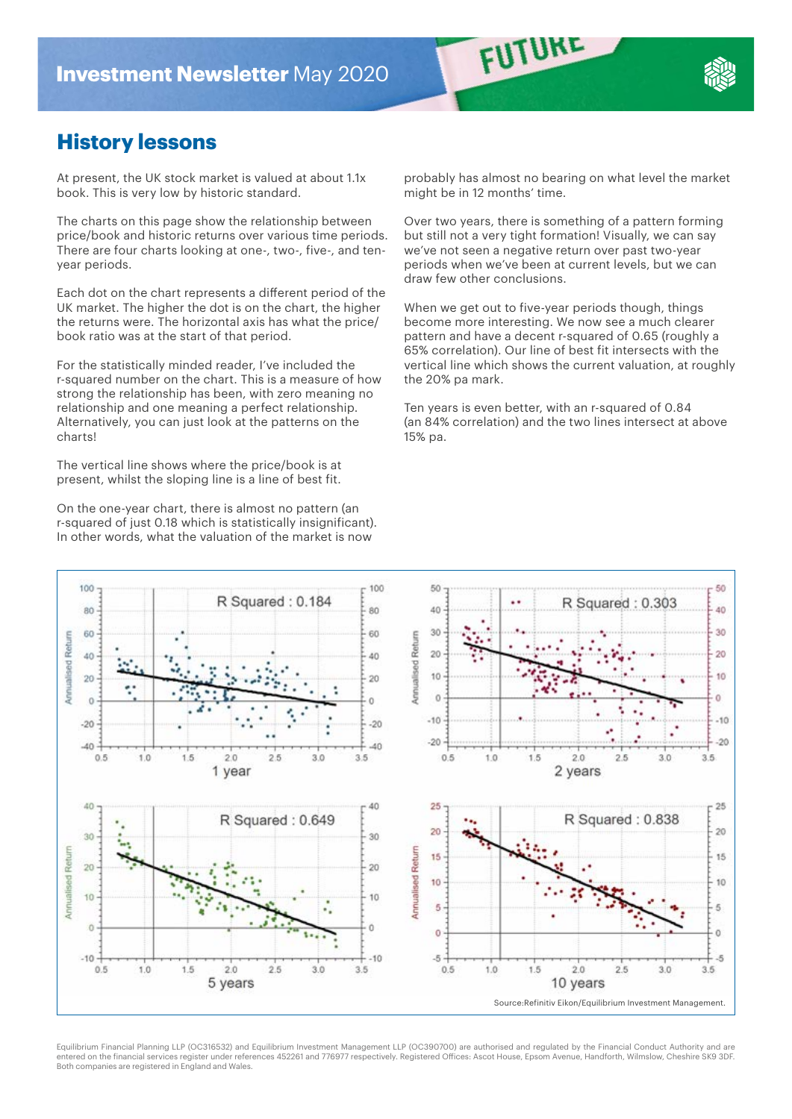## **History lessons**

At present, the UK stock market is valued at about 1.1x book. This is very low by historic standard.

The charts on this page show the relationship between price/book and historic returns over various time periods. There are four charts looking at one-, two-, five-, and tenyear periods.

Each dot on the chart represents a different period of the UK market. The higher the dot is on the chart, the higher the returns were. The horizontal axis has what the price/ book ratio was at the start of that period.

For the statistically minded reader, I've included the r-squared number on the chart. This is a measure of how strong the relationship has been, with zero meaning no relationship and one meaning a perfect relationship. Alternatively, you can just look at the patterns on the charts!

The vertical line shows where the price/book is at present, whilst the sloping line is a line of best fit.

On the one-year chart, there is almost no pattern (an r-squared of just 0.18 which is statistically insignificant). In other words, what the valuation of the market is now

probably has almost no bearing on what level the market might be in 12 months' time.

FUTURE

Over two years, there is something of a pattern forming but still not a very tight formation! Visually, we can say we've not seen a negative return over past two-year periods when we've been at current levels, but we can draw few other conclusions.

When we get out to five-year periods though, things become more interesting. We now see a much clearer pattern and have a decent r-squared of 0.65 (roughly a 65% correlation). Our line of best fit intersects with the vertical line which shows the current valuation, at roughly the 20% pa mark.

Ten years is even better, with an r-squared of 0.84 (an 84% correlation) and the two lines intersect at above 15% pa.



Equilibrium Financial Planning LLP (OC316532) and Equilibrium Investment Management LLP (OC390700) are authorised and regulated by the Financial Conduct Authority and are entered on the financial services register under references 452261 and 776977 respectively. Registered Offices: Ascot House, Epsom Avenue, Handforth, Wilmslow, Cheshire SK9 3DF. Both companies are registered in England and Wales.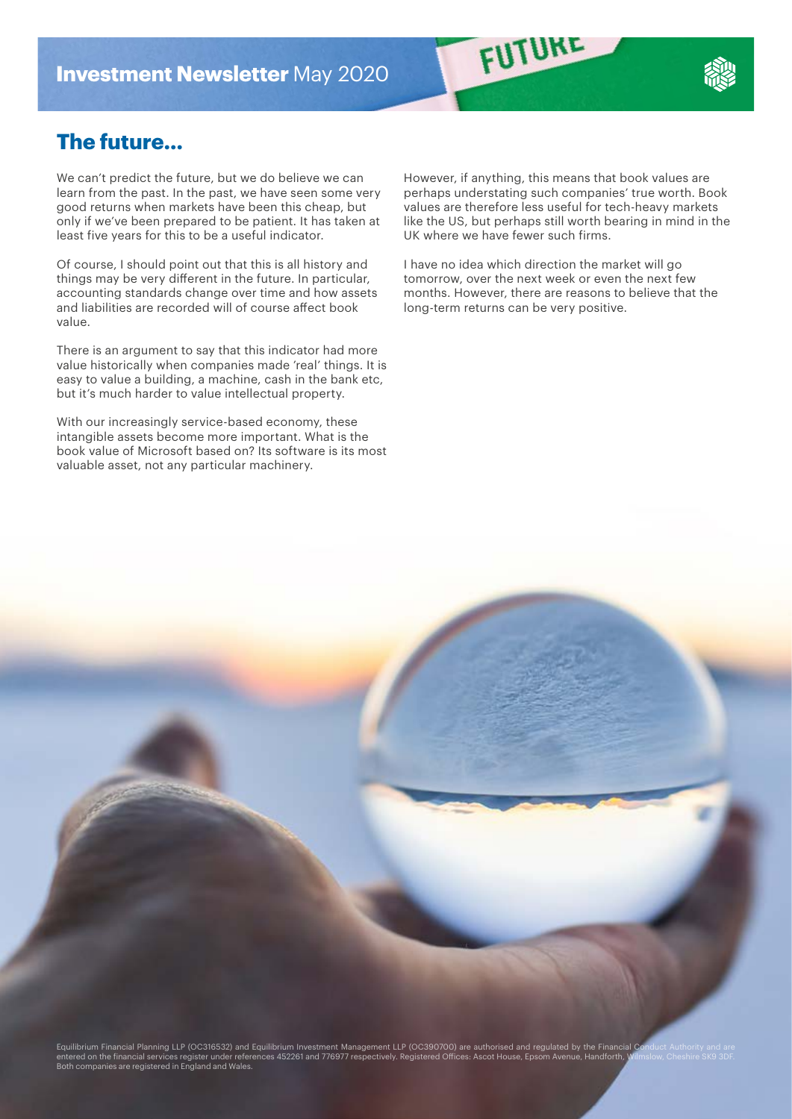

We can't predict the future, but we do believe we can learn from the past. In the past, we have seen some very good returns when markets have been this cheap, but only if we've been prepared to be patient. It has taken at least five years for this to be a useful indicator.

Of course, I should point out that this is all history and things may be very different in the future. In particular, accounting standards change over time and how assets and liabilities are recorded will of course affect book value.

There is an argument to say that this indicator had more value historically when companies made 'real' things. It is easy to value a building, a machine, cash in the bank etc, but it's much harder to value intellectual property.

With our increasingly service-based economy, these intangible assets become more important. What is the book value of Microsoft based on? Its software is its most valuable asset, not any particular machinery.

However, if anything, this means that book values are perhaps understating such companies' true worth. Book values are therefore less useful for tech-heavy markets like the US, but perhaps still worth bearing in mind in the UK where we have fewer such firms.

FUTURE

I have no idea which direction the market will go tomorrow, over the next week or even the next few months. However, there are reasons to believe that the long-term returns can be very positive.

Equilibrium Financial Planning LLP (OC316532) and Equilibrium Investment Management LLP (OC390700) are authorised and regulated by the Financial C entered on the financial services register under references 452261 and 776977 respectively. Registered Offices: Ascot House, Epsom Avenue, Handforth, Wilmslow, Cheshire SK9 3DF.<br>Both companies are registered in England and